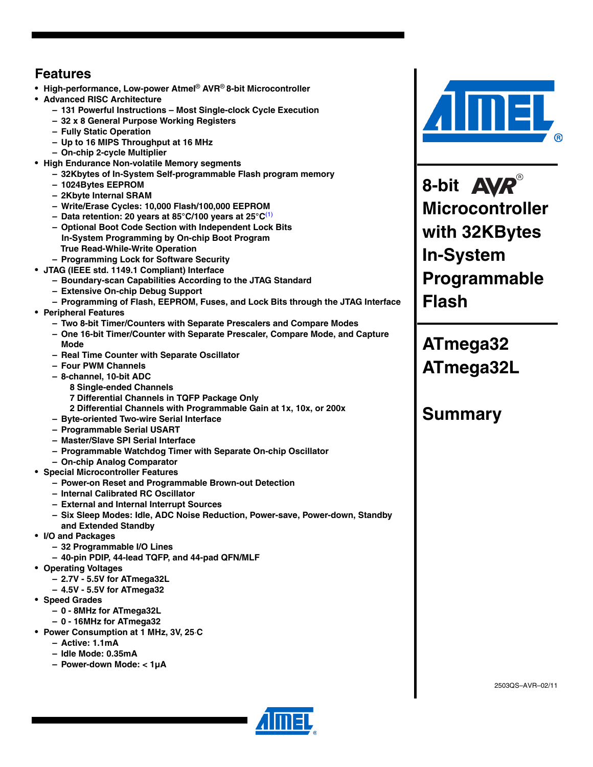### **Features**

- **High-performance, Low-power Atmel**® **AVR**® **8-bit Microcontroller**
- **Advanced RISC Architecture**
	- **131 Powerful Instructions Most Single-clock Cycle Execution**
	- **32 x 8 General Purpose Working Registers**
	- **Fully Static Operation**
	- **Up to 16 MIPS Throughput at 16 MHz**
	- **On-chip 2-cycle Multiplier**
- **High Endurance Non-volatile Memory segments**
	- **32Kbytes of In-System Self-programmable Flash program memory**
	- **1024Bytes EEPROM**
	- **2Kbyte Internal SRAM**
	- **Write/Erase Cycles: 10,000 Flash/100,000 EEPROM**
	- **Data retention: 20 years at 85°C/100 years at 25°C**(1)
	- **Optional Boot Code Section with Independent Lock Bits In-System Programming by On-chip Boot Program True Read-While-Write Operation**
	- **Programming Lock for Software Security**
- **JTAG (IEEE std. 1149.1 Compliant) Interface**
	- **Boundary-scan Capabilities According to the JTAG Standard**
		- **Extensive On-chip Debug Support**
	- **Programming of Flash, EEPROM, Fuses, and Lock Bits through the JTAG Interface**
- **Peripheral Features**
	- **Two 8-bit Timer/Counters with Separate Prescalers and Compare Modes**
	- **One 16-bit Timer/Counter with Separate Prescaler, Compare Mode, and Capture Mode**
	- **Real Time Counter with Separate Oscillator**
	- **Four PWM Channels**
	- **8-channel, 10-bit ADC**
		- **8 Single-ended Channels**
		- **7 Differential Channels in TQFP Package Only**
		- **2 Differential Channels with Programmable Gain at 1x, 10x, or 200x**
	- **Byte-oriented Two-wire Serial Interface**
	- **Programmable Serial USART**
	- **Master/Slave SPI Serial Interface**
	- **Programmable Watchdog Timer with Separate On-chip Oscillator**
	- **On-chip Analog Comparator**
- **Special Microcontroller Features**
	- **Power-on Reset and Programmable Brown-out Detection**
	- **Internal Calibrated RC Oscillator**
	- **External and Internal Interrupt Sources**
	- **Six Sleep Modes: Idle, ADC Noise Reduction, Power-save, Power-down, Standby and Extended Standby**
- **I/O and Packages**
	- **32 Programmable I/O Lines**
	- **40-pin PDIP, 44-lead TQFP, and 44-pad QFN/MLF**
- **Operating Voltages**
	- **2.7V 5.5V for ATmega32L**
	- **4.5V 5.5V for ATmega32**
- **Speed Grades**
	- **0 8MHz for ATmega32L**
	- **0 16MHz for ATmega32**
- **Power Consumption at 1 MHz, 3V, 25**⋅**C**
	- **Active: 1.1mA**
	- **Idle Mode: 0.35mA**
	- **Power-down Mode: < 1µA**



**8-bit Microcontroller with 32KBytes In-System Programmable Flash**

**ATmega32 ATmega32L**

## **Summary**

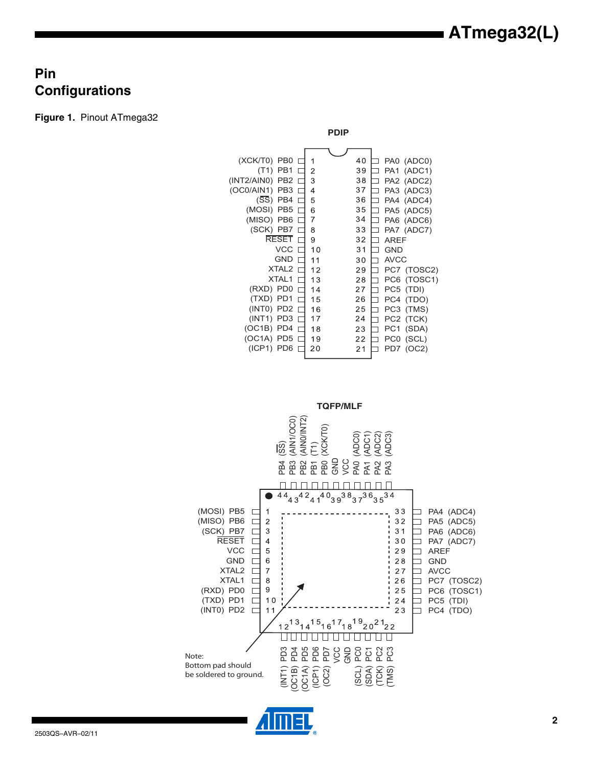### **Pin Configurations**

**Figure 1.** Pinout ATmega32





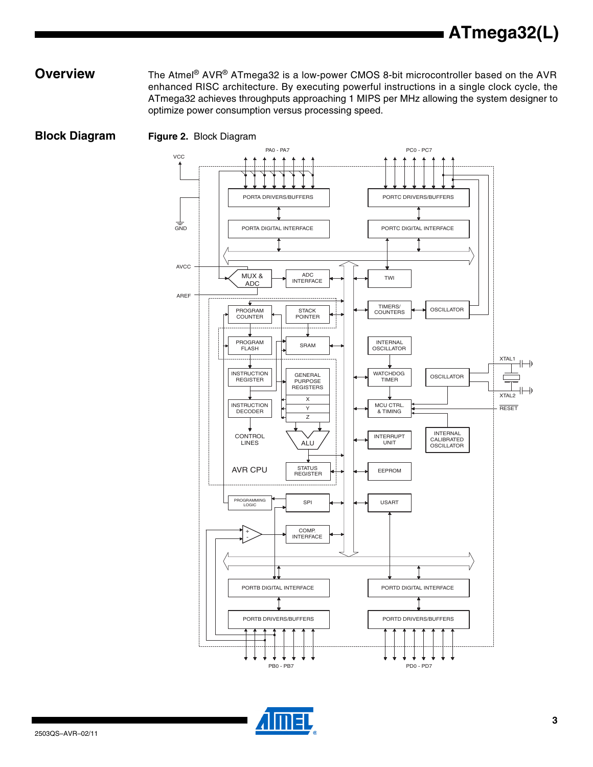**Overview** The Atmel<sup>®</sup> AVR<sup>®</sup> ATmega32 is a low-power CMOS 8-bit microcontroller based on the AVR enhanced RISC architecture. By executing powerful instructions in a single clock cycle, the ATmega32 achieves throughputs approaching 1 MIPS per MHz allowing the system designer to optimize power consumption versus processing speed.



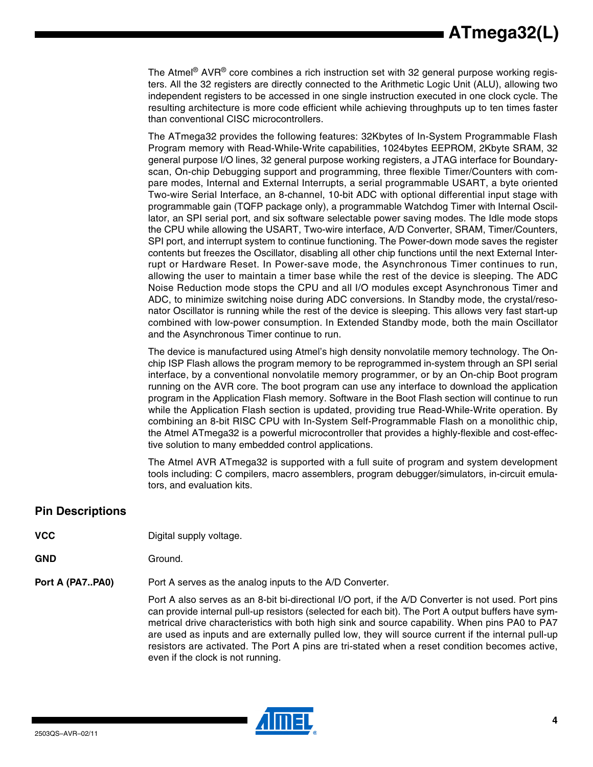The Atmel® AVR® core combines a rich instruction set with 32 general purpose working registers. All the 32 registers are directly connected to the Arithmetic Logic Unit (ALU), allowing two independent registers to be accessed in one single instruction executed in one clock cycle. The resulting architecture is more code efficient while achieving throughputs up to ten times faster than conventional CISC microcontrollers.

The ATmega32 provides the following features: 32Kbytes of In-System Programmable Flash Program memory with Read-While-Write capabilities, 1024bytes EEPROM, 2Kbyte SRAM, 32 general purpose I/O lines, 32 general purpose working registers, a JTAG interface for Boundaryscan, On-chip Debugging support and programming, three flexible Timer/Counters with compare modes, Internal and External Interrupts, a serial programmable USART, a byte oriented Two-wire Serial Interface, an 8-channel, 10-bit ADC with optional differential input stage with programmable gain (TQFP package only), a programmable Watchdog Timer with Internal Oscillator, an SPI serial port, and six software selectable power saving modes. The Idle mode stops the CPU while allowing the USART, Two-wire interface, A/D Converter, SRAM, Timer/Counters, SPI port, and interrupt system to continue functioning. The Power-down mode saves the register contents but freezes the Oscillator, disabling all other chip functions until the next External Interrupt or Hardware Reset. In Power-save mode, the Asynchronous Timer continues to run, allowing the user to maintain a timer base while the rest of the device is sleeping. The ADC Noise Reduction mode stops the CPU and all I/O modules except Asynchronous Timer and ADC, to minimize switching noise during ADC conversions. In Standby mode, the crystal/resonator Oscillator is running while the rest of the device is sleeping. This allows very fast start-up combined with low-power consumption. In Extended Standby mode, both the main Oscillator and the Asynchronous Timer continue to run.

The device is manufactured using Atmel's high density nonvolatile memory technology. The Onchip ISP Flash allows the program memory to be reprogrammed in-system through an SPI serial interface, by a conventional nonvolatile memory programmer, or by an On-chip Boot program running on the AVR core. The boot program can use any interface to download the application program in the Application Flash memory. Software in the Boot Flash section will continue to run while the Application Flash section is updated, providing true Read-While-Write operation. By combining an 8-bit RISC CPU with In-System Self-Programmable Flash on a monolithic chip, the Atmel ATmega32 is a powerful microcontroller that provides a highly-flexible and cost-effective solution to many embedded control applications.

The Atmel AVR ATmega32 is supported with a full suite of program and system development tools including: C compilers, macro assemblers, program debugger/simulators, in-circuit emulators, and evaluation kits.

### **Pin Descriptions**

- **VCC** Digital supply voltage.
- GND Ground.

**Port A (PA7..PA0)** Port A serves as the analog inputs to the A/D Converter.

Port A also serves as an 8-bit bi-directional I/O port, if the A/D Converter is not used. Port pins can provide internal pull-up resistors (selected for each bit). The Port A output buffers have symmetrical drive characteristics with both high sink and source capability. When pins PA0 to PA7 are used as inputs and are externally pulled low, they will source current if the internal pull-up resistors are activated. The Port A pins are tri-stated when a reset condition becomes active, even if the clock is not running.

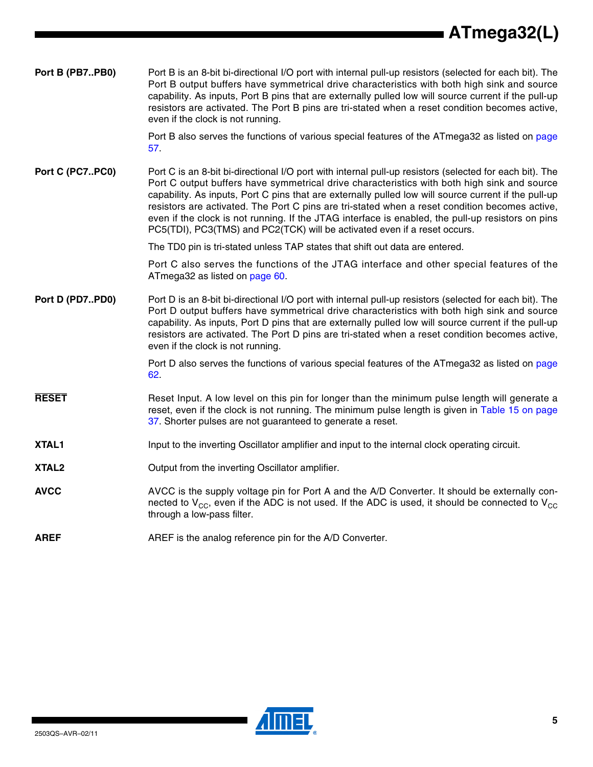| Port B (PB7PB0)   | Port B is an 8-bit bi-directional I/O port with internal pull-up resistors (selected for each bit). The<br>Port B output buffers have symmetrical drive characteristics with both high sink and source<br>capability. As inputs, Port B pins that are externally pulled low will source current if the pull-up<br>resistors are activated. The Port B pins are tri-stated when a reset condition becomes active,<br>even if the clock is not running.                                                                                                                                              |
|-------------------|----------------------------------------------------------------------------------------------------------------------------------------------------------------------------------------------------------------------------------------------------------------------------------------------------------------------------------------------------------------------------------------------------------------------------------------------------------------------------------------------------------------------------------------------------------------------------------------------------|
|                   | Port B also serves the functions of various special features of the ATmega32 as listed on page<br>57.                                                                                                                                                                                                                                                                                                                                                                                                                                                                                              |
| Port C (PC7PC0)   | Port C is an 8-bit bi-directional I/O port with internal pull-up resistors (selected for each bit). The<br>Port C output buffers have symmetrical drive characteristics with both high sink and source<br>capability. As inputs, Port C pins that are externally pulled low will source current if the pull-up<br>resistors are activated. The Port C pins are tri-stated when a reset condition becomes active,<br>even if the clock is not running. If the JTAG interface is enabled, the pull-up resistors on pins<br>PC5(TDI), PC3(TMS) and PC2(TCK) will be activated even if a reset occurs. |
|                   | The TD0 pin is tri-stated unless TAP states that shift out data are entered.                                                                                                                                                                                                                                                                                                                                                                                                                                                                                                                       |
|                   | Port C also serves the functions of the JTAG interface and other special features of the<br>ATmega32 as listed on page 60.                                                                                                                                                                                                                                                                                                                                                                                                                                                                         |
| Port D (PD7PD0)   | Port D is an 8-bit bi-directional I/O port with internal pull-up resistors (selected for each bit). The<br>Port D output buffers have symmetrical drive characteristics with both high sink and source<br>capability. As inputs, Port D pins that are externally pulled low will source current if the pull-up<br>resistors are activated. The Port D pins are tri-stated when a reset condition becomes active,<br>even if the clock is not running.                                                                                                                                              |
|                   | Port D also serves the functions of various special features of the ATmega32 as listed on page<br>62.                                                                                                                                                                                                                                                                                                                                                                                                                                                                                              |
| <b>RESET</b>      | Reset Input. A low level on this pin for longer than the minimum pulse length will generate a<br>reset, even if the clock is not running. The minimum pulse length is given in Table 15 on page<br>37. Shorter pulses are not guaranteed to generate a reset.                                                                                                                                                                                                                                                                                                                                      |
| XTAL1             | Input to the inverting Oscillator amplifier and input to the internal clock operating circuit.                                                                                                                                                                                                                                                                                                                                                                                                                                                                                                     |
| XTAL <sub>2</sub> | Output from the inverting Oscillator amplifier.                                                                                                                                                                                                                                                                                                                                                                                                                                                                                                                                                    |
| <b>AVCC</b>       | AVCC is the supply voltage pin for Port A and the A/D Converter. It should be externally con-<br>nected to $V_{CC}$ , even if the ADC is not used. If the ADC is used, it should be connected to $V_{CC}$<br>through a low-pass filter.                                                                                                                                                                                                                                                                                                                                                            |
| <b>AREF</b>       | AREF is the analog reference pin for the A/D Converter.                                                                                                                                                                                                                                                                                                                                                                                                                                                                                                                                            |

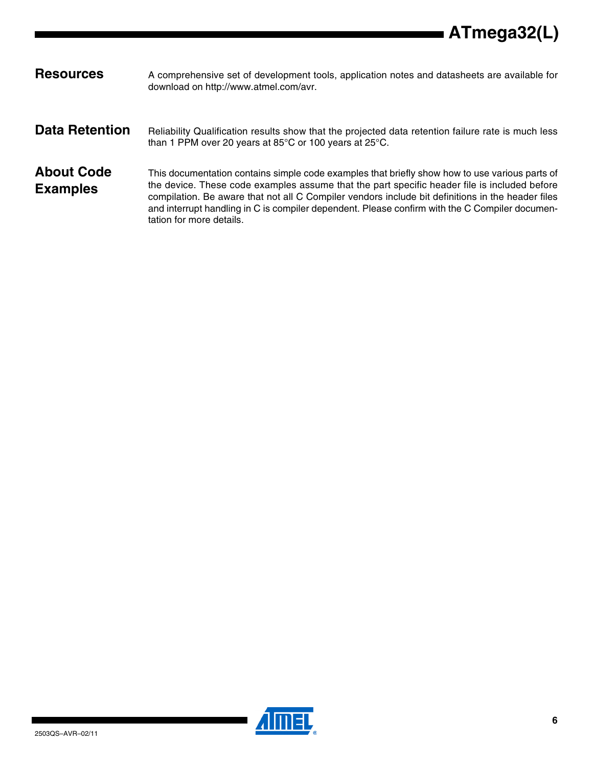| <b>Resources</b>                     | A comprehensive set of development tools, application notes and datasheets are available for<br>download on http://www.atmel.com/avr.                                                                                                                                                                                                                                                                                             |
|--------------------------------------|-----------------------------------------------------------------------------------------------------------------------------------------------------------------------------------------------------------------------------------------------------------------------------------------------------------------------------------------------------------------------------------------------------------------------------------|
| <b>Data Retention</b>                | Reliability Qualification results show that the projected data retention failure rate is much less<br>than 1 PPM over 20 years at 85 $\degree$ C or 100 years at 25 $\degree$ C.                                                                                                                                                                                                                                                  |
| <b>About Code</b><br><b>Examples</b> | This documentation contains simple code examples that briefly show how to use various parts of<br>the device. These code examples assume that the part specific header file is included before<br>compilation. Be aware that not all C Compiler vendors include bit definitions in the header files<br>and interrupt handling in C is compiler dependent. Please confirm with the C Compiler documen-<br>tation for more details. |

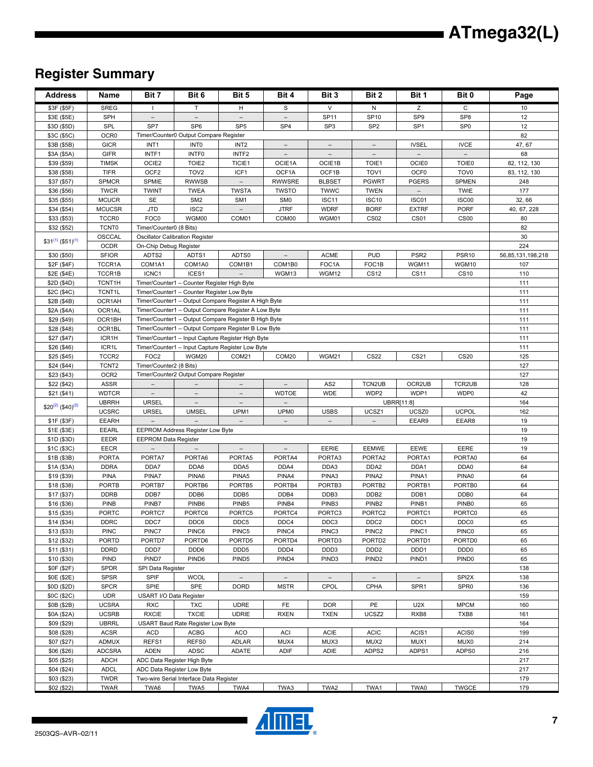## **Register Summary**

| <b>Address</b>                    | Name                          | Bit 7                           | Bit 6                                       | Bit 5                                                | Bit 4                                        | Bit 3                                   | Bit 2               | Bit 1                       | Bit 0                    | Page              |
|-----------------------------------|-------------------------------|---------------------------------|---------------------------------------------|------------------------------------------------------|----------------------------------------------|-----------------------------------------|---------------------|-----------------------------|--------------------------|-------------------|
| \$3F (\$5F)                       | <b>SREG</b>                   | $\mathbf{I}$                    | T.                                          | H                                                    | S                                            | $\vee$                                  | N                   | z                           | $\mathsf{C}$             | 10                |
| \$3E (\$5E)                       | SPH                           | $\overline{\phantom{0}}$        | $\overline{\phantom{0}}$                    | $\equiv$                                             |                                              | SP11                                    | SP10                | SP <sub>9</sub>             | SP <sub>8</sub>          | 12                |
| \$3D (\$5D)                       | SPL                           | SP7                             | SP <sub>6</sub>                             | SP <sub>5</sub>                                      | SP <sub>4</sub>                              | SP <sub>3</sub>                         | SP <sub>2</sub>     | SP <sub>1</sub>             | SP <sub>0</sub>          | 12                |
| \$3C (\$5C)                       | OCR <sub>0</sub>              |                                 | Timer/Counter0 Output Compare Register      |                                                      |                                              |                                         |                     |                             |                          | 82                |
| \$3B (\$5B)                       | <b>GICR</b>                   | INT <sub>1</sub>                | INT <sub>0</sub>                            | INT <sub>2</sub>                                     | $\qquad \qquad -$                            |                                         |                     | <b>IVSEL</b>                | <b>IVCE</b>              | 47, 67            |
| \$3A (\$5A)                       | <b>GIFR</b>                   | INTF1                           | INTF0                                       | INTF <sub>2</sub>                                    | $\overline{\phantom{0}}$                     | $\qquad \qquad -$                       |                     |                             | $\overline{\phantom{0}}$ | 68                |
| \$39 (\$59)                       | <b>TIMSK</b>                  | OCIE2                           | TOIE2                                       | TICIE1                                               | OCIE1A                                       | OCIE1B                                  | TOIE1               | <b>OCIE0</b>                | TOIE0                    | 82, 112, 130      |
| \$38 (\$58)                       | <b>TIFR</b>                   | OCF <sub>2</sub>                | TOV <sub>2</sub>                            | ICF1                                                 | OCF1A                                        | OCF1B                                   | TOV <sub>1</sub>    | OCF <sub>0</sub>            | TOV <sub>0</sub>         | 83, 112, 130      |
| \$37 (\$57)                       | <b>SPMCR</b>                  | SPMIE                           | <b>RWWSB</b>                                |                                                      | <b>RWWSRE</b>                                | <b>BLBSET</b>                           | <b>PGWRT</b>        | <b>PGERS</b>                | <b>SPMEN</b>             | 248               |
| \$36 (\$56)                       | <b>TWCR</b>                   | <b>TWINT</b>                    | <b>TWEA</b>                                 | <b>TWSTA</b>                                         | <b>TWSTO</b>                                 | <b>TWWC</b>                             | <b>TWEN</b>         |                             | <b>TWIE</b>              | 177               |
| \$35 (\$55)                       | <b>MCUCR</b><br><b>MCUCSR</b> | SE                              | SM <sub>2</sub>                             | SM <sub>1</sub>                                      | SM <sub>0</sub>                              | ISC <sub>11</sub>                       | <b>ISC10</b>        | ISC01                       | ISC00                    | 32,66             |
| \$34 (\$54)<br>\$33 (\$53)        | TCCR <sub>0</sub>             | <b>JTD</b><br>FOC <sub>0</sub>  | ISC <sub>2</sub><br>WGM00                   | $\overline{\phantom{m}}$<br>COM01                    | <b>JTRF</b><br>COM00                         | <b>WDRF</b><br>WGM01                    | <b>BORF</b><br>CS02 | <b>EXTRF</b><br><b>CS01</b> | <b>PORF</b><br>CS00      | 40, 67, 228<br>80 |
| \$32 (\$52)                       | <b>TCNT0</b>                  | Timer/Counter0 (8 Bits)         |                                             |                                                      |                                              |                                         |                     |                             |                          | 82                |
|                                   | OSCCAL                        |                                 | Oscillator Calibration Register             |                                                      |                                              |                                         |                     |                             |                          | 30                |
| $$31^{(1)}$ (\$51) <sup>(1)</sup> | <b>OCDR</b>                   | On-Chip Debug Register          |                                             |                                                      |                                              |                                         |                     |                             |                          | 224               |
| \$30 (\$50)                       | <b>SFIOR</b>                  | ADTS2                           | ADTS1                                       | ADTS0                                                |                                              | <b>ACME</b>                             | <b>PUD</b>          | PSR <sub>2</sub>            | PSR <sub>10</sub>        | 56,85,131,198,218 |
| \$2F (\$4F)                       | TCCR1A                        | COM1A1                          | COM1A0                                      | COM1B1                                               | COM1B0                                       | FOC1A                                   | FOC1B               | WGM11                       | WGM10                    | 107               |
| \$2E (\$4E)                       | TCCR1B                        | ICNC1                           | ICES1                                       |                                                      | WGM13                                        | WGM12                                   | <b>CS12</b>         | <b>CS11</b>                 | CS10                     | 110               |
| \$2D (\$4D)                       | TCNT1H                        |                                 | Timer/Counter1 - Counter Register High Byte |                                                      |                                              |                                         |                     |                             |                          | 111               |
| \$2C (\$4C)                       | TCNT1L                        |                                 | Timer/Counter1 - Counter Register Low Byte  |                                                      |                                              |                                         |                     |                             |                          | 111               |
| \$2B (\$4B)                       | OCR1AH                        |                                 |                                             | Timer/Counter1 - Output Compare Register A High Byte |                                              |                                         |                     |                             |                          | 111               |
| \$2A (\$4A)                       | OCR1AL                        |                                 |                                             | Timer/Counter1 - Output Compare Register A Low Byte  |                                              |                                         |                     |                             |                          | 111               |
| \$29 (\$49)                       | OCR1BH                        |                                 |                                             | Timer/Counter1 - Output Compare Register B High Byte |                                              |                                         |                     |                             |                          | 111               |
| \$28 (\$48)                       | OCR1BL                        |                                 |                                             | Timer/Counter1 - Output Compare Register B Low Byte  |                                              |                                         |                     |                             |                          | 111               |
| \$27 (\$47)                       | ICR1H                         |                                 |                                             | Timer/Counter1 - Input Capture Register High Byte    |                                              |                                         |                     |                             |                          | 111               |
| \$26 (\$46)                       | ICR1L                         |                                 |                                             | Timer/Counter1 - Input Capture Register Low Byte     |                                              |                                         |                     |                             |                          | 111               |
| \$25 (\$45)                       | TCCR2                         | FOC <sub>2</sub>                | WGM20                                       | COM21                                                | COM20                                        | WGM21                                   | <b>CS22</b>         | CS21                        | <b>CS20</b>              | 125               |
| \$24 (\$44)                       | TCNT <sub>2</sub>             | Timer/Counter2 (8 Bits)         |                                             |                                                      |                                              |                                         |                     |                             |                          | 127               |
| \$23 (\$43)                       | OCR <sub>2</sub>              |                                 | Timer/Counter2 Output Compare Register      |                                                      |                                              |                                         |                     |                             |                          | 127               |
| \$22 (\$42)                       | <b>ASSR</b>                   | $\overline{\phantom{0}}$        | $\overline{\phantom{0}}$                    |                                                      | $\overline{\phantom{a}}$                     | AS <sub>2</sub>                         | TCN2UB              | OCR2UB                      | TCR2UB                   | 128               |
| \$21 (\$41)                       | <b>WDTCR</b>                  | $\frac{1}{2}$                   | $\overline{a}$                              | $\overline{\phantom{a}}$                             | <b>WDTOE</b>                                 | <b>WDE</b>                              | WDP2                | WDP1                        | WDP0                     | 42                |
| $$20^{(2)}$ (\$40) <sup>(2)</sup> | <b>UBRRH</b>                  | <b>URSEL</b>                    | $\overline{\phantom{0}}$                    | $\equiv$                                             |                                              |                                         |                     | UBRR[11:8]                  |                          | 164               |
| \$1F (\$3F)                       | <b>UCSRC</b><br><b>EEARH</b>  | <b>URSEL</b>                    | <b>UMSEL</b>                                | UPM1                                                 | UPM <sub>0</sub><br>$\overline{\phantom{a}}$ | <b>USBS</b><br>$\overline{\phantom{a}}$ | UCSZ1               | UCSZ0<br>EEAR9              | <b>UCPOL</b><br>EEAR8    | 162<br>19         |
| \$1E (\$3E)                       | <b>EEARL</b>                  |                                 | EEPROM Address Register Low Byte            |                                                      |                                              |                                         |                     |                             |                          | 19                |
| \$1D (\$3D)                       | EEDR                          | <b>EEPROM Data Register</b>     |                                             |                                                      |                                              |                                         |                     |                             |                          | 19                |
| \$1C (\$3C)                       | EECR                          | $\overline{\phantom{0}}$        | $\overline{\phantom{0}}$                    | $\overline{\phantom{a}}$                             | $\overline{\phantom{a}}$                     | EERIE                                   | <b>EEMWE</b>        | EEWE                        | EERE                     | 19                |
| \$1B (\$3B)                       | <b>PORTA</b>                  | PORTA7                          | PORTA6                                      | PORTA5                                               | PORTA4                                       | PORTA3                                  | PORTA2              | PORTA1                      | PORTA0                   | 64                |
| \$1A (\$3A)                       | <b>DDRA</b>                   | DDA7                            | DDA6                                        | DDA5                                                 | DDA4                                         | DDA3                                    | DDA <sub>2</sub>    | DDA1                        | DDA0                     | 64                |
| \$19 (\$39)                       | <b>PINA</b>                   | PINA7                           | PINA6                                       | PINA5                                                | PINA4                                        | PINA3                                   | PINA <sub>2</sub>   | PINA1                       | PINA0                    | 64                |
| \$18 (\$38)                       | <b>PORTB</b>                  | PORTB7                          | PORTB6                                      | PORTB5                                               | PORTB4                                       | PORTB3                                  | PORTB2              | PORTB1                      | PORTB0                   | 64                |
| \$17(\$37)                        | <b>DDRB</b>                   | DDB7                            | DDB6                                        | DDB <sub>5</sub>                                     | DDB4                                         | DDB3                                    | DDB <sub>2</sub>    | DDB1                        | DDB <sub>0</sub>         | 64                |
| \$16 (\$36)                       | <b>PINB</b>                   | PINB7                           | PINB6                                       | PINB <sub>5</sub>                                    | PINB4                                        | PINB <sub>3</sub>                       | PINB <sub>2</sub>   | PINB1                       | PINB <sub>0</sub>        | 65                |
| \$15(\$35)                        | <b>PORTC</b>                  | PORTC7                          | PORTC6                                      | PORTC5                                               | PORTC4                                       | PORTC3                                  | PORTC2              | PORTC1                      | PORTC0                   | 65                |
| \$14 (\$34)                       | $\texttt{DDRC}$               | DDC7                            | DDC6                                        | DDC5                                                 | DDC4                                         | DDC3                                    | DDC2                | DDC1                        | DDC0                     | 65                |
| \$13 (\$33)                       | <b>PINC</b>                   | PINC7                           | PINC6                                       | PINC5                                                | PINC4                                        | PINC3                                   | PINC <sub>2</sub>   | PINC <sub>1</sub>           | PINC <sub>0</sub>        | 65                |
| \$12 (\$32)                       | <b>PORTD</b>                  | PORTD7                          | PORTD6                                      | PORTD5                                               | PORTD4                                       | PORTD3                                  | PORTD <sub>2</sub>  | PORTD1                      | PORTD0                   | 65                |
| \$11(\$31)                        | <b>DDRD</b>                   | DDD7                            | DDD6                                        | DDD <sub>5</sub>                                     | DDD4                                         | DDD3                                    | DDD <sub>2</sub>    | DDD1                        | DDD <sub>0</sub>         | 65                |
| \$10 (\$30)                       | PIND                          | PIND7                           | PIND <sub>6</sub>                           | PIND <sub>5</sub>                                    | PIND4                                        | PIND <sub>3</sub>                       | PIND <sub>2</sub>   | PIND <sub>1</sub>           | PIND <sub>0</sub>        | 65                |
| \$0F (\$2F)                       | <b>SPDR</b>                   | SPI Data Register               |                                             |                                                      |                                              |                                         |                     |                             |                          | 138               |
| \$0E (\$2E)                       | <b>SPSR</b>                   | SPIF                            | <b>WCOL</b>                                 | $\overline{\phantom{a}}$                             |                                              |                                         |                     |                             | SPI2X                    | 138               |
| \$0D (\$2D)<br>\$0C (\$2C)        | <b>SPCR</b><br><b>UDR</b>     | SPIE<br>USART I/O Data Register | SPE                                         | <b>DORD</b>                                          | <b>MSTR</b>                                  | CPOL                                    | CPHA                | SPR <sub>1</sub>            | SPR <sub>0</sub>         | 136<br>159        |
| \$0B (\$2B)                       | <b>UCSRA</b>                  | <b>RXC</b>                      | <b>TXC</b>                                  | <b>UDRE</b>                                          | FE                                           | <b>DOR</b>                              | PE                  | U2X                         | <b>MPCM</b>              | 160               |
| \$0A (\$2A)                       | <b>UCSRB</b>                  | <b>RXCIE</b>                    | <b>TXCIE</b>                                | <b>UDRIE</b>                                         | <b>RXEN</b>                                  | <b>TXEN</b>                             | UCSZ2               | RXB8                        | TXB8                     | 161               |
| \$09 (\$29)                       | <b>UBRRL</b>                  |                                 | USART Baud Rate Register Low Byte           |                                                      |                                              |                                         |                     |                             |                          | 164               |
| \$08 (\$28)                       | <b>ACSR</b>                   | ACD                             | ACBG                                        | ACO                                                  | <b>ACI</b>                                   | <b>ACIE</b>                             | <b>ACIC</b>         | ACIS1                       | ACIS0                    | 199               |
| \$07 (\$27)                       | <b>ADMUX</b>                  | REFS1                           | REFS0                                       | ADLAR                                                | MUX4                                         | MUX3                                    | MUX2                | MUX1                        | MUX0                     | 214               |
| \$06 (\$26)                       | <b>ADCSRA</b>                 | <b>ADEN</b>                     | ADSC                                        | <b>ADATE</b>                                         | ADIF                                         | ADIE                                    | ADPS2               | ADPS1                       | ADPS0                    | 216               |
| \$05(\$25)                        | <b>ADCH</b>                   |                                 | ADC Data Register High Byte                 |                                                      |                                              |                                         |                     |                             |                          | 217               |
| \$04 (\$24)                       | <b>ADCL</b>                   |                                 | ADC Data Register Low Byte                  |                                                      |                                              |                                         |                     |                             |                          | 217               |
| \$03(\$23)                        | <b>TWDR</b>                   |                                 | Two-wire Serial Interface Data Register     |                                                      |                                              |                                         |                     |                             |                          | 179               |
| \$02(\$22)                        | <b>TWAR</b>                   | TWA6                            | TWA5                                        | TWA4                                                 | TWA3                                         | TWA2                                    | TWA1                | TWA0                        | <b>TWGCE</b>             | 179               |

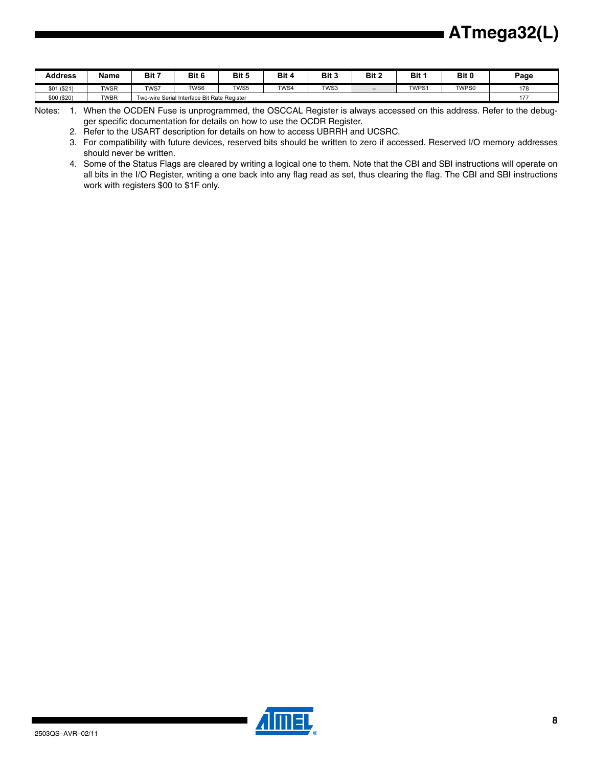| <b>Address</b> | Name        | Bit 7 | Bit 6                                             | Bit 5 | Bit 4 | Bit 3 | Bit 2                    | Bit   | Bit 0 | Page |
|----------------|-------------|-------|---------------------------------------------------|-------|-------|-------|--------------------------|-------|-------|------|
| \$01<br>(\$21) | <b>TWSR</b> | TWS7  | TWS6                                              | TWS5  | TWS4  | TWS3  | $\overline{\phantom{0}}$ | TWPS1 | TWPS0 | 178  |
| \$00 (\$20)    | <b>TWBR</b> |       | I Interface Bit Rate Register<br>wo-wire Serial I |       |       |       |                          |       | 177   |      |

Notes: 1. When the OCDEN Fuse is unprogrammed, the OSCCAL Register is always accessed on this address. Refer to the debugger specific documentation for details on how to use the OCDR Register.

2. Refer to the USART description for details on how to access UBRRH and UCSRC.

3. For compatibility with future devices, reserved bits should be written to zero if accessed. Reserved I/O memory addresses should never be written.

4. Some of the Status Flags are cleared by writing a logical one to them. Note that the CBI and SBI instructions will operate on all bits in the I/O Register, writing a one back into any flag read as set, thus clearing the flag. The CBI and SBI instructions work with registers \$00 to \$1F only.

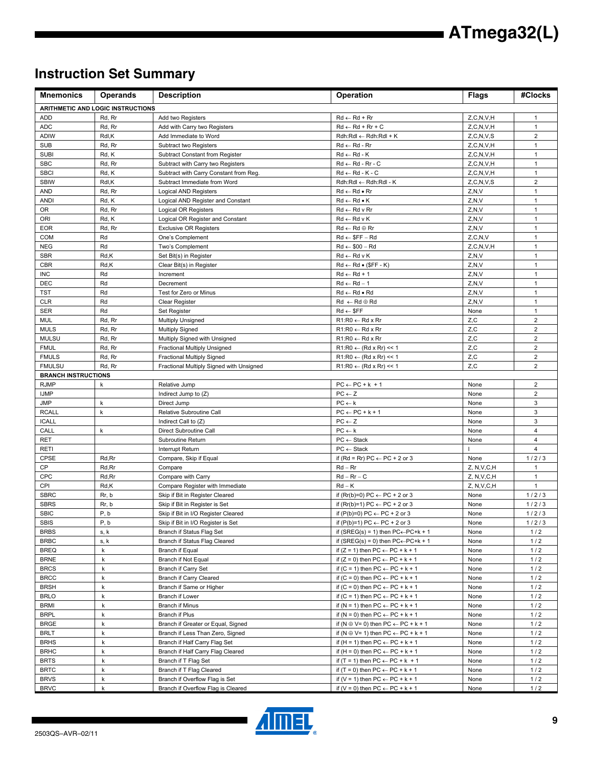## **Instruction Set Summary**

| <b>Mnemonics</b>           | <b>Operands</b>                          | <b>Description</b>                          | Operation                                            | <b>Flags</b>  | #Clocks        |
|----------------------------|------------------------------------------|---------------------------------------------|------------------------------------------------------|---------------|----------------|
|                            | <b>ARITHMETIC AND LOGIC INSTRUCTIONS</b> |                                             |                                                      |               |                |
| <b>ADD</b>                 | Rd, Rr                                   | Add two Registers                           | $Rd \leftarrow Rd + Rr$                              | Z, C, N, V, H | $\mathbf{1}$   |
| <b>ADC</b>                 | Rd, Rr                                   | Add with Carry two Registers                | $Rd \leftarrow Rd + Rr + C$                          | Z, C, N, V, H | $\mathbf{1}$   |
| <b>ADIW</b>                | Rdl,K                                    | Add Immediate to Word                       | $Rdh:Rdl \leftarrow Rdh:Rdl + K$                     | Z, C, N, V, S | $\overline{2}$ |
| <b>SUB</b>                 | Rd, Rr                                   | Subtract two Registers                      | $Rd \leftarrow Rd - Rr$                              | Z, C, N, V, H | $\mathbf{1}$   |
| <b>SUBI</b>                | Rd, K                                    | Subtract Constant from Register             | $Rd \leftarrow Rd - K$                               | Z, C, N, V, H | $\mathbf{1}$   |
| <b>SBC</b>                 | Rd, Rr                                   | Subtract with Carry two Registers           | $Rd \leftarrow Rd - Rr - C$                          | Z, C, N, V, H | $\mathbf{1}$   |
| <b>SBCI</b>                | Rd, K                                    | Subtract with Carry Constant from Reg.      | $Rd \leftarrow Rd - K - C$                           | Z, C, N, V, H | $\mathbf{1}$   |
| <b>SBIW</b>                | Rdl,K                                    | Subtract Immediate from Word                | Rdh:Rdl ← Rdh:Rdl - K                                | Z, C, N, V, S | $\overline{2}$ |
| <b>AND</b>                 | Rd, Rr                                   | Logical AND Registers                       | $Rd \leftarrow Rd \bullet Rr$                        | Z, N, V       | $\mathbf{1}$   |
| <b>ANDI</b>                | Rd, K                                    | Logical AND Register and Constant           | $Rd \leftarrow Rd \bullet K$                         | Z, N, V       | $\mathbf{1}$   |
| OR                         | Rd, Rr                                   | Logical OR Registers                        | $Rd \leftarrow Rd$ v $Rr$                            | Z, N, V       | 1              |
| ORI                        | Rd, K                                    | Logical OR Register and Constant            | $Rd \leftarrow Rd \vee K$                            | Z, N, V       | $\mathbf{1}$   |
| <b>EOR</b>                 | Rd, Rr                                   | <b>Exclusive OR Registers</b>               | $Rd \leftarrow Rd \oplus Rr$                         | Z, N, V       | $\mathbf{1}$   |
| <b>COM</b>                 | Rd                                       | One's Complement                            | $Rd \leftarrow$ \$FF - Rd                            | Z, C, N, V    | $\mathbf{1}$   |
| <b>NEG</b>                 | Rd                                       | Two's Complement                            | $Rd \leftarrow $00 - Rd$                             | Z, C, N, V, H | $\mathbf{1}$   |
| <b>SBR</b>                 | Rd, K                                    | Set Bit(s) in Register                      | $Rd \leftarrow Rd \vee K$                            | Z, N, V       | $\mathbf{1}$   |
| <b>CBR</b>                 | Rd,K                                     | Clear Bit(s) in Register                    | $Rd \leftarrow Rd \bullet (SFF - K)$                 | Z, N, V       | $\mathbf{1}$   |
| <b>INC</b>                 | Rd                                       | Increment                                   | $Rd \leftarrow Rd + 1$                               | Z, N, V       | $\mathbf{1}$   |
| <b>DEC</b>                 | Rd                                       | Decrement                                   | $Rd \leftarrow Rd - 1$                               | Z, N, V       | $\mathbf{1}$   |
| TST                        | Rd                                       | Test for Zero or Minus                      | $Rd \leftarrow Rd \bullet Rd$                        | Z, N, V       | $\mathbf{1}$   |
| <b>CLR</b>                 | Rd                                       | Clear Register                              | $Rd \leftarrow Rd \oplus Rd$                         | Z, N, V       | $\mathbf{1}$   |
| <b>SER</b>                 | Rd                                       | Set Register                                | $Rd \leftarrow$ SFF                                  | None          | $\mathbf{1}$   |
| <b>MUL</b>                 | Rd, Rr                                   | <b>Multiply Unsigned</b>                    | $R1:R0 \leftarrow Rd \times Rr$                      | Z,C           | $\overline{2}$ |
| <b>MULS</b>                | Rd, Rr                                   | <b>Multiply Signed</b>                      | $R1:R0 \leftarrow Rd \times Rr$                      | Z,C           | $\overline{2}$ |
| <b>MULSU</b>               | Rd, Rr                                   | Multiply Signed with Unsigned               | $R1:R0 \leftarrow Rd \times Rr$                      | Z,C           | $\overline{2}$ |
| <b>FMUL</b>                | Rd, Rr                                   | Fractional Multiply Unsigned                | $R1:R0 \leftarrow (Rd \times Rr) \leq 1$             | Z,C           | $\overline{2}$ |
| <b>FMULS</b>               | Rd, Rr                                   | <b>Fractional Multiply Signed</b>           | $R1:R0 \leftarrow (Rd \times Rr) \leq 1$             | Z, C          | $\mathbf 2$    |
| <b>FMULSU</b>              |                                          | Fractional Multiply Signed with Unsigned    |                                                      | Z,C           | $\overline{2}$ |
| <b>BRANCH INSTRUCTIONS</b> | Rd, Rr                                   |                                             | $R1:R0 \leftarrow (Rd \times Rr) \le 1$              |               |                |
| <b>RJMP</b>                | k                                        | Relative Jump                               | $PC \leftarrow PC + k + 1$                           | None          | $\overline{2}$ |
| <b>IJMP</b>                |                                          |                                             | $PC \leftarrow Z$                                    |               | $\overline{2}$ |
|                            |                                          | Indirect Jump to (Z)                        | $PC \leftarrow k$                                    | None          | 3              |
| <b>JMP</b><br><b>RCALL</b> | k<br>$\mathsf k$                         | Direct Jump                                 | $PC \leftarrow PC + k + 1$                           | None          | 3              |
|                            |                                          | Relative Subroutine Call                    |                                                      | None          | 3              |
| <b>ICALL</b>               |                                          | Indirect Call to (Z)                        | $PC \leftarrow Z$                                    | None          |                |
| CALL<br><b>RET</b>         | k                                        | Direct Subroutine Call<br>Subroutine Return | $PC \leftarrow k$                                    | None          | 4<br>4         |
|                            |                                          |                                             | $PC \leftarrow Stack$                                | None          | 4              |
| <b>RETI</b>                |                                          | Interrupt Return                            | $PC \leftarrow Stack$                                |               |                |
| <b>CPSE</b><br>CP          | Rd, Rr                                   | Compare, Skip if Equal                      | if (Rd = Rr) PC $\leftarrow$ PC + 2 or 3             | None          | 1/2/3          |
|                            | Rd, Rr                                   | Compare                                     | $Rd - Rr$                                            | Z, N, V, C, H | $\mathbf{1}$   |
| CPC                        | Rd, Rr                                   | Compare with Carry                          | $Rd - Rr - C$<br>$Rd - K$                            | Z, N, V, C, H | 1              |
| CPI                        | Rd, K                                    | Compare Register with Immediate             |                                                      | Z, N, V, C, H | $\mathbf{1}$   |
| <b>SBRC</b>                | Rr, b                                    | Skip if Bit in Register Cleared             | if (Rr(b)=0) PC $\leftarrow$ PC + 2 or 3             | None          | 1/2/3          |
| <b>SBRS</b>                | Rr, b                                    | Skip if Bit in Register is Set              | if (Rr(b)=1) PC $\leftarrow$ PC + 2 or 3             | None          | 1/2/3          |
| <b>SBIC</b>                | P, b                                     | Skip if Bit in I/O Register Cleared         | if $(P(b)=0) PC \leftarrow PC + 2$ or 3              | None          | 1/2/3          |
| <b>SBIS</b>                | P, b                                     | Skip if Bit in I/O Register is Set          | if $(P(b)=1) PC \leftarrow PC + 2$ or 3              | None          | 1/2/3          |
| <b>BRBS</b>                | s, k                                     | Branch if Status Flag Set                   | if (SREG(s) = 1) then $PC \leftarrow PC + k + 1$     | None          | $1/2$          |
| <b>BRBC</b>                | s, k                                     | Branch if Status Flag Cleared               | if (SREG(s) = 0) then $PC \leftarrow PC + k + 1$     | None          | $1/2$          |
| <b>BREQ</b>                | $\mathsf k$                              | Branch if Equal                             | if $(Z = 1)$ then PC $\leftarrow$ PC + k + 1         | None          | 1/2            |
| <b>BRNE</b>                | k                                        | Branch if Not Equal                         | if $(Z = 0)$ then PC $\leftarrow$ PC + k + 1         | None          | $1/2$          |
| <b>BRCS</b>                | k                                        | Branch if Carry Set                         | if $(C = 1)$ then $PC \leftarrow PC + k + 1$         | None          | $1/2$          |
| <b>BRCC</b>                | k                                        | Branch if Carry Cleared                     | if $(C = 0)$ then $PC \leftarrow PC + k + 1$         | None          | $1/2$          |
| <b>BRSH</b>                | k                                        | Branch if Same or Higher                    | if $(C = 0)$ then $PC \leftarrow PC + k + 1$         | None          | $1/2$          |
| <b>BRLO</b>                | k                                        | Branch if Lower                             | if $(C = 1)$ then $PC \leftarrow PC + k + 1$         | None          | $1/2$          |
| <b>BRMI</b>                | k                                        | <b>Branch if Minus</b>                      | if (N = 1) then $PC \leftarrow PC + k + 1$           | None          | $1/2$          |
| <b>BRPL</b>                | $\mathsf k$                              | Branch if Plus                              | if (N = 0) then $PC \leftarrow PC + k + 1$           | None          | $1/2$          |
| <b>BRGE</b>                | k                                        | Branch if Greater or Equal, Signed          | if (N $\oplus$ V= 0) then PC $\leftarrow$ PC + k + 1 | None          | $1/2$          |
| <b>BRLT</b>                | k                                        | Branch if Less Than Zero, Signed            | if (N $\oplus$ V= 1) then PC $\leftarrow$ PC + k + 1 | None          | $1/2$          |
| <b>BRHS</b>                | k                                        | Branch if Half Carry Flag Set               | if (H = 1) then $PC \leftarrow PC + k + 1$           | None          | $1/2$          |
| <b>BRHC</b>                | k                                        | Branch if Half Carry Flag Cleared           | if (H = 0) then $PC \leftarrow PC + k + 1$           | None          | $1/2$          |
| <b>BRTS</b>                | k                                        | Branch if T Flag Set                        | if $(T = 1)$ then PC $\leftarrow$ PC + k + 1         | None          | $1/2$          |
| <b>BRTC</b>                | k                                        | Branch if T Flag Cleared                    | if $(T = 0)$ then $PC \leftarrow PC + k + 1$         | None          | $1/2$          |
| <b>BRVS</b>                | k                                        | Branch if Overflow Flag is Set              | if (V = 1) then $PC \leftarrow PC + k + 1$           | None          | $1/2$          |
| <b>BRVC</b>                | $\mathsf{k}$                             | Branch if Overflow Flag is Cleared          | if (V = 0) then $PC \leftarrow PC + k + 1$           | None          | 1/2            |

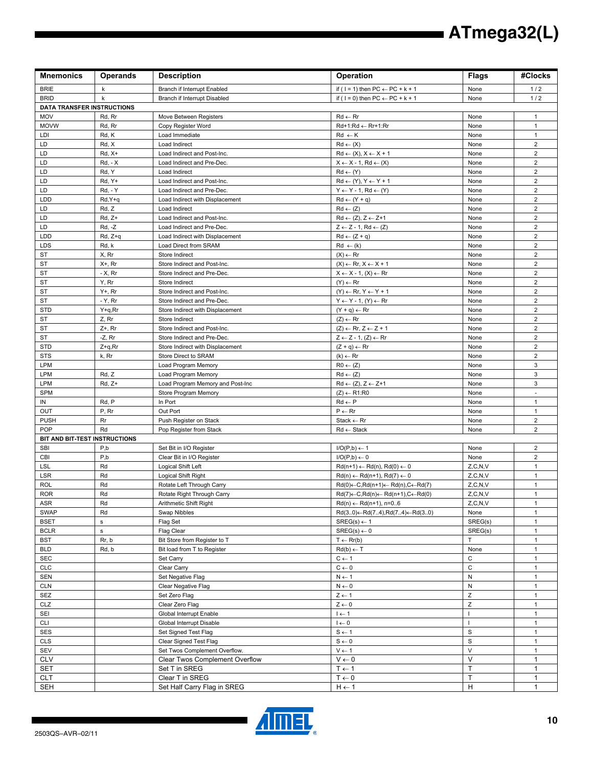| <b>Mnemonics</b>                  | <b>Operands</b>   | <b>Description</b>                                          | Operation                                                                                              | <b>Flags</b>                | #Clocks                          |
|-----------------------------------|-------------------|-------------------------------------------------------------|--------------------------------------------------------------------------------------------------------|-----------------------------|----------------------------------|
| <b>BRIE</b>                       | k                 | Branch if Interrupt Enabled                                 | if ( $1 = 1$ ) then $PC \leftarrow PC + k + 1$                                                         | None                        | $1/2$                            |
| <b>BRID</b>                       | k                 | Branch if Interrupt Disabled                                | if ( $1 = 0$ ) then $PC \leftarrow PC + k + 1$                                                         | None                        | 1/2                              |
| <b>DATA TRANSFER INSTRUCTIONS</b> |                   |                                                             |                                                                                                        |                             |                                  |
| MOV                               | Rd, Rr            | Move Between Registers                                      | $Rd \leftarrow Rr$                                                                                     | None                        | $\mathbf{1}$                     |
| <b>MOVW</b>                       | Rd, Rr            | Copy Register Word                                          | Rd+1:Rd ← Rr+1:Rr                                                                                      | None                        | $\mathbf{1}$                     |
| LDI                               | Rd, K             | Load Immediate                                              | $Rd \leftarrow K$                                                                                      | None                        | $\mathbf{1}$                     |
| LD<br>LD                          | Rd, X<br>$Rd, X+$ | Load Indirect<br>Load Indirect and Post-Inc.                | $Rd \leftarrow (X)$<br>$Rd \leftarrow (X), X \leftarrow X + 1$                                         | None<br>None                | $\overline{2}$<br>$\overline{2}$ |
| LD                                | <b>Rd, - X</b>    | Load Indirect and Pre-Dec.                                  | $X \leftarrow X - 1$ , Rd $\leftarrow (X)$                                                             | None                        | $\overline{2}$                   |
| LD                                | Rd, Y             | Load Indirect                                               | $Rd \leftarrow (Y)$                                                                                    | None                        | $\overline{2}$                   |
| LD                                | Rd, Y+            | Load Indirect and Post-Inc.                                 | $Rd \leftarrow (Y), Y \leftarrow Y + 1$                                                                | None                        | $\overline{2}$                   |
| LD                                | <b>Rd, - Y</b>    | Load Indirect and Pre-Dec.                                  | $Y \leftarrow Y - 1$ , Rd $\leftarrow (Y)$                                                             | None                        | $\overline{2}$                   |
| <b>LDD</b>                        | Rd, Y+q           | Load Indirect with Displacement                             | $Rd \leftarrow (Y + q)$                                                                                | None                        | $\overline{2}$                   |
| LD                                | Rd, Z             | Load Indirect                                               | $Rd \leftarrow (Z)$                                                                                    | None                        | $\overline{2}$                   |
| LD                                | $Rd, Z+$          | Load Indirect and Post-Inc.                                 | $Rd \leftarrow (Z), Z \leftarrow Z+1$                                                                  | None                        | $\overline{2}$                   |
| LD                                | $Rd, -Z$          | Load Indirect and Pre-Dec.                                  | $Z \leftarrow Z - 1$ , Rd $\leftarrow (Z)$                                                             | None                        | $\mathbf 2$                      |
| <b>LDD</b>                        | $Rd, Z+q$         | Load Indirect with Displacement                             | $Rd \leftarrow (Z + q)$                                                                                | None                        | $\overline{2}$                   |
| <b>LDS</b>                        | Rd, k             | Load Direct from SRAM                                       | $Rd \leftarrow (k)$                                                                                    | None                        | $\overline{\mathbf{c}}$          |
| ST                                | X, Rr             | Store Indirect                                              | $(X) \leftarrow Rr$                                                                                    | None                        | $\overline{2}$                   |
| <b>ST</b>                         | $X^+$ , Rr        | Store Indirect and Post-Inc.<br>Store Indirect and Pre-Dec. | $(X) \leftarrow \mathsf{Rr}, X \leftarrow X + 1$                                                       | None                        | $\overline{2}$<br>$\overline{2}$ |
| ST<br><b>ST</b>                   | - X, Rr<br>Y, Rr  | Store Indirect                                              | $X \leftarrow X - 1$ , $(X) \leftarrow Rr$<br>$(Y) \leftarrow Rr$                                      | None<br>None                | $\overline{2}$                   |
| ST                                | $Y+$ , Rr         | Store Indirect and Post-Inc.                                | $(Y) \leftarrow \mathsf{R}r, Y \leftarrow Y + 1$                                                       | None                        | $\overline{2}$                   |
| ST                                | - Y, Rr           | Store Indirect and Pre-Dec.                                 | $Y \leftarrow Y - 1$ , $(Y) \leftarrow Rr$                                                             | None                        | $\overline{2}$                   |
| <b>STD</b>                        | $Y+q, Rr$         | Store Indirect with Displacement                            | $(Y + q) \leftarrow Rr$                                                                                | None                        | $\overline{2}$                   |
| ST                                | Z, Rr             | Store Indirect                                              | $(Z) \leftarrow Rr$                                                                                    | None                        | $\overline{2}$                   |
| ST                                | $Z+$ , Rr         | Store Indirect and Post-Inc.                                | $(Z) \leftarrow \mathsf{Rr}, Z \leftarrow Z + 1$                                                       | None                        | $\overline{2}$                   |
| <b>ST</b>                         | $-Z$ , Rr         | Store Indirect and Pre-Dec.                                 | $Z \leftarrow Z - 1$ , $(Z) \leftarrow Rr$                                                             | None                        | $\mathbf 2$                      |
| <b>STD</b>                        | $Z+q, Rr$         | Store Indirect with Displacement                            | $(Z + q) \leftarrow Rr$                                                                                | None                        | $\overline{2}$                   |
| <b>STS</b>                        | k, Rr             | Store Direct to SRAM                                        | $(k) \leftarrow Rr$                                                                                    | None                        | $\overline{\mathbf{c}}$          |
| LPM                               |                   | Load Program Memory                                         | $R0 \leftarrow (Z)$                                                                                    | None                        | 3                                |
| <b>LPM</b>                        | Rd, Z             | Load Program Memory                                         | $Rd \leftarrow (Z)$                                                                                    | None                        | 3                                |
| <b>LPM</b>                        | $Rd, Z+$          | Load Program Memory and Post-Inc                            | $Rd \leftarrow (Z), Z \leftarrow Z+1$                                                                  | None                        | 3                                |
| <b>SPM</b><br>IN                  | Rd, P             | Store Program Memory<br>In Port                             | $(Z) \leftarrow R1:R0$<br>$Rd \leftarrow P$                                                            | None<br>None                | $\mathbf{1}$                     |
| OUT                               | P, Rr             | Out Port                                                    | $P \leftarrow Rr$                                                                                      | None                        | 1                                |
| <b>PUSH</b>                       | Rr                | Push Register on Stack                                      | $State \leftarrow Rr$                                                                                  | None                        | $\overline{2}$                   |
| <b>POP</b>                        | Rd                | Pop Register from Stack                                     | $Rd \leftarrow$ Stack                                                                                  | None                        | $\overline{2}$                   |
| BIT AND BIT-TEST INSTRUCTIONS     |                   |                                                             |                                                                                                        |                             |                                  |
| <b>SBI</b>                        | P,b               | Set Bit in I/O Register                                     | $I/O(P,b) \leftarrow 1$                                                                                | None                        | $\overline{2}$                   |
| CBI                               | P,b               | Clear Bit in I/O Register                                   | $I/O(P,b) \leftarrow 0$                                                                                | None                        | $\overline{2}$                   |
| <b>LSL</b>                        | Rd                | Logical Shift Left                                          | $Rd(n+1) \leftarrow Rd(n), Rd(0) \leftarrow 0$                                                         | Z, C, N, V                  | $\mathbf{1}$                     |
| LSR                               | Rd                | Logical Shift Right                                         | $Rd(n) \leftarrow Rd(n+1), Rd(7) \leftarrow 0$                                                         | Z, C, N, V                  | $\mathbf{1}$                     |
| <b>ROL</b>                        | Rd                | Rotate Left Through Carry                                   | $Rd(0) \leftarrow C, Rd(n+1) \leftarrow Rd(n), C \leftarrow Rd(7)$                                     | Z, C, N, V                  | $\mathbf{1}$                     |
| <b>ROR</b><br>ASR                 | Rd<br>Rd          | Rotate Right Through Carry<br>Arithmetic Shift Right        | $Rd(7) \leftarrow C, Rd(n) \leftarrow Rd(n+1), C \leftarrow Rd(0)$<br>$Rd(n) \leftarrow Rd(n+1), n=06$ | Z, C, N, V<br>Z, C, N, V    | 1<br>$\mathbf{1}$                |
| <b>SWAP</b>                       | Rd                | Swap Nibbles                                                | $Rd(3.0) \leftarrow Rd(7.4), Rd(7.4) \leftarrow Rd(3.0)$                                               | None                        | $\mathbf{1}$                     |
| <b>BSET</b>                       | $\mathbf s$       | Flag Set                                                    | $SREG(s) \leftarrow 1$                                                                                 | SREG(s)                     | 1                                |
| <b>BCLR</b>                       | $\mathbf s$       | Flag Clear                                                  | $SREG(s) \leftarrow 0$                                                                                 | SREG(s)                     | $\mathbf{1}$                     |
| <b>BST</b>                        | Rr, b             | Bit Store from Register to T                                | $T \leftarrow Rr(b)$                                                                                   | T.                          | $\mathbf{1}$                     |
| <b>BLD</b>                        | Rd, b             | Bit load from T to Register                                 | $Rd(b) \leftarrow T$                                                                                   | None                        | $\mathbf{1}$                     |
| SEC                               |                   | Set Carry                                                   | $C \leftarrow 1$                                                                                       | $\mathsf C$                 | $\mathbf{1}$                     |
| CLC                               |                   | Clear Carry                                                 | $C \leftarrow 0$                                                                                       | $\mathsf{C}$                | $\mathbf{1}$                     |
| <b>SEN</b>                        |                   | Set Negative Flag                                           | $N \leftarrow 1$                                                                                       | ${\sf N}$                   | $\mathbf{1}$                     |
| <b>CLN</b>                        |                   | Clear Negative Flag                                         | $N \leftarrow 0$                                                                                       | ${\sf N}$                   | $\mathbf{1}$                     |
| SEZ                               |                   | Set Zero Flag                                               | $Z \leftarrow 1$                                                                                       | Z                           | $\mathbf{1}$                     |
| CLZ                               |                   | Clear Zero Flag<br>Global Interrupt Enable                  | $Z \leftarrow 0$                                                                                       | $\mathsf Z$<br>$\mathbf{I}$ | $\mathbf{1}$<br>$\mathbf{1}$     |
| SEI<br><b>CLI</b>                 |                   | Global Interrupt Disable                                    | $l \leftarrow 1$<br>$0 \rightarrow 1$                                                                  | $\mathbf{I}$                | $\mathbf{1}$                     |
| <b>SES</b>                        |                   | Set Signed Test Flag                                        | $S \leftarrow 1$                                                                                       | $\mathbf S$                 | 1                                |
| CLS                               |                   | Clear Signed Test Flag                                      | $S \leftarrow 0$                                                                                       | $\mathbf S$                 | $\mathbf{1}$                     |
| SEV                               |                   | Set Twos Complement Overflow.                               | $V \leftarrow 1$                                                                                       | $\vee$                      | $\mathbf{1}$                     |
| <b>CLV</b>                        |                   | Clear Twos Complement Overflow                              | $V \leftarrow 0$                                                                                       | $\vee$                      | 1                                |
| <b>SET</b>                        |                   | Set T in SREG                                               | $T \leftarrow 1$                                                                                       | T                           | 1                                |
| <b>CLT</b>                        |                   | Clear T in SREG                                             | $0 \rightarrow T$                                                                                      | T                           | 1                                |
| SEH                               |                   | Set Half Carry Flag in SREG                                 | $H \leftarrow 1$                                                                                       | н                           | $\mathbf{1}$                     |

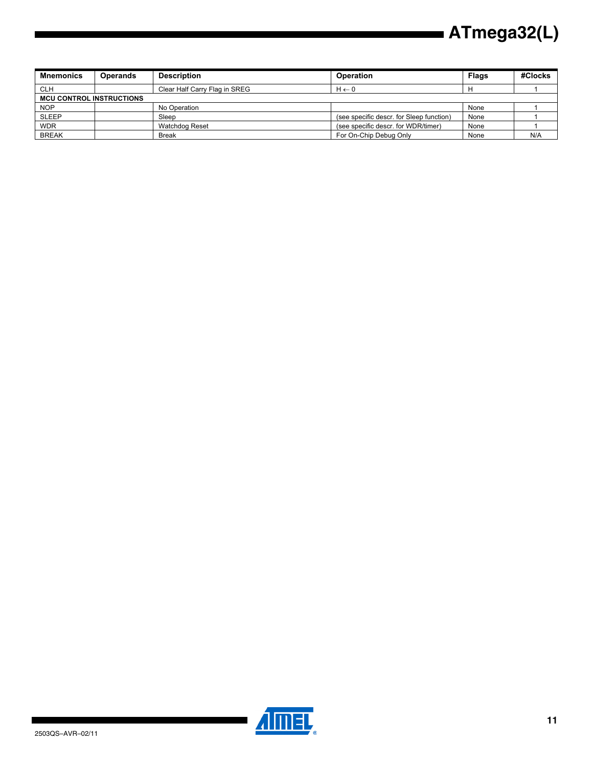| <b>Mnemonics</b>                | <b>Operands</b> | <b>Description</b>            | Operation                                | <b>Flags</b> | #Clocks |
|---------------------------------|-----------------|-------------------------------|------------------------------------------|--------------|---------|
| <b>CLH</b>                      |                 | Clear Half Carry Flag in SREG | $H \leftarrow 0$                         |              |         |
| <b>MCU CONTROL INSTRUCTIONS</b> |                 |                               |                                          |              |         |
| NOP                             |                 | No Operation                  |                                          | None         |         |
| <b>SLEEP</b>                    |                 | Sleep                         | (see specific descr. for Sleep function) | None         |         |
| <b>WDR</b>                      |                 | Watchdog Reset                | (see specific descr. for WDR/timer)      | None         |         |
| <b>BREAK</b>                    |                 | <b>Break</b>                  | For On-Chip Debug Only                   | None         | N/A     |

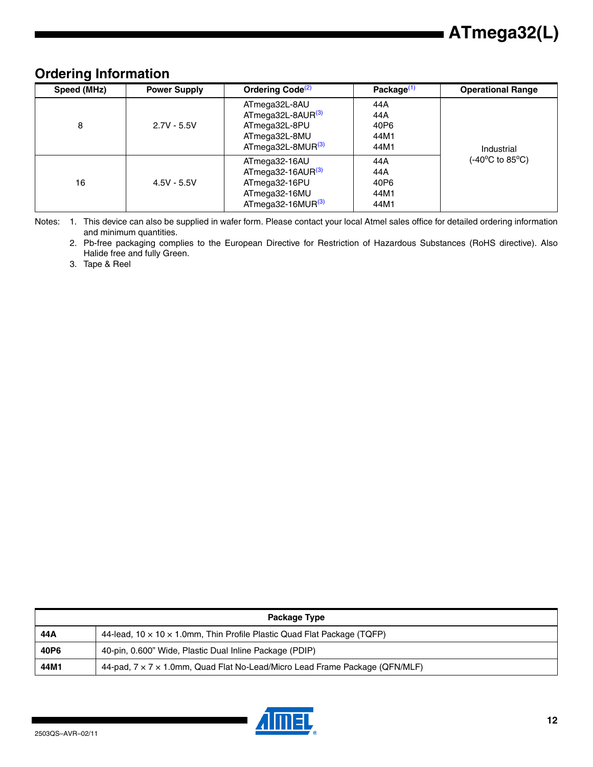### **Ordering Information**

| Speed (MHz) | <b>Power Supply</b> | Ordering Code <sup>(2)</sup>                                                                                      | Package $(1)$                      | <b>Operational Range</b> |
|-------------|---------------------|-------------------------------------------------------------------------------------------------------------------|------------------------------------|--------------------------|
| 8           | $2.7V - 5.5V$       | ATmega32L-8AU<br>ATmega32L-8AUR <sup>(3)</sup><br>ATmega32L-8PU<br>ATmega32L-8MU<br>ATmega32L-8MUR <sup>(3)</sup> | 44A<br>44A<br>40P6<br>44M1<br>44M1 | Industrial               |
| 16          | $4.5V - 5.5V$       | ATmega32-16AU<br>$AT$ mega32-16AUR $^{(3)}$<br>ATmega32-16PU<br>ATmega32-16MU<br>ATmega32-16MUR <sup>(3)</sup>    | 44A<br>44A<br>40P6<br>44M1<br>44M1 | (-40°C to 85°C).         |

Notes: 1. This device can also be supplied in wafer form. Please contact your local Atmel sales office for detailed ordering information and minimum quantities.

2. Pb-free packaging complies to the European Directive for Restriction of Hazardous Substances (RoHS directive). Also Halide free and fully Green.

3. Tape & Reel

| Package Type |                                                                                      |  |
|--------------|--------------------------------------------------------------------------------------|--|
| 44 A         | 44-lead, $10 \times 10 \times 1.0$ mm, Thin Profile Plastic Quad Flat Package (TQFP) |  |
| 40P6         | 40-pin, 0.600" Wide, Plastic Dual Inline Package (PDIP)                              |  |
| 44M1         | 44-pad, 7 x 7 x 1.0mm, Quad Flat No-Lead/Micro Lead Frame Package (QFN/MLF)          |  |

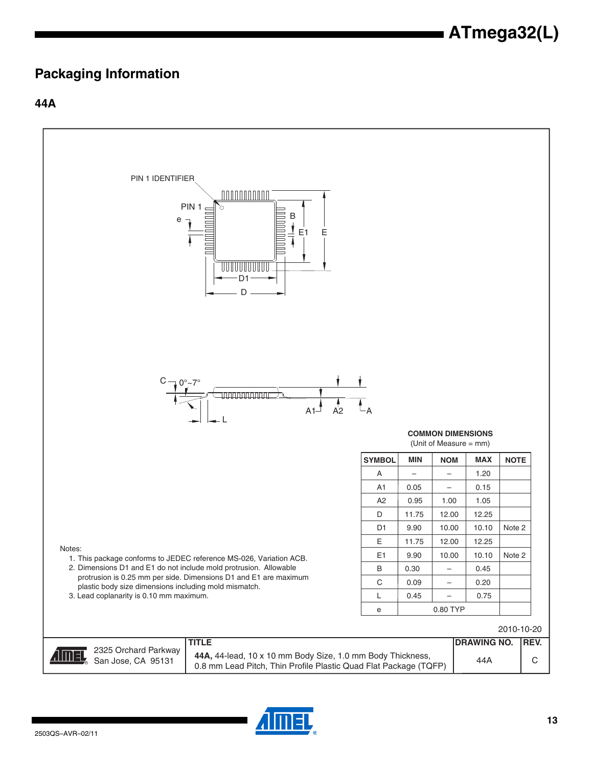### **Packaging Information**

### **44A**



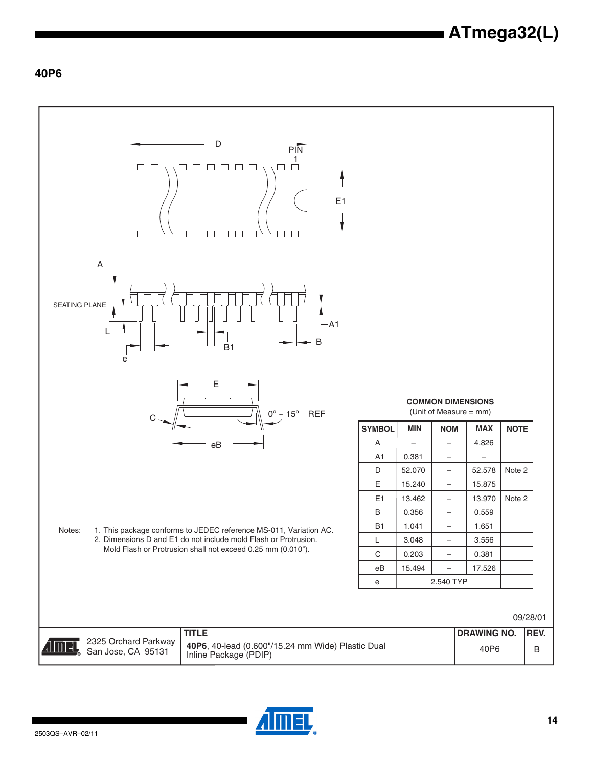### **40P6**



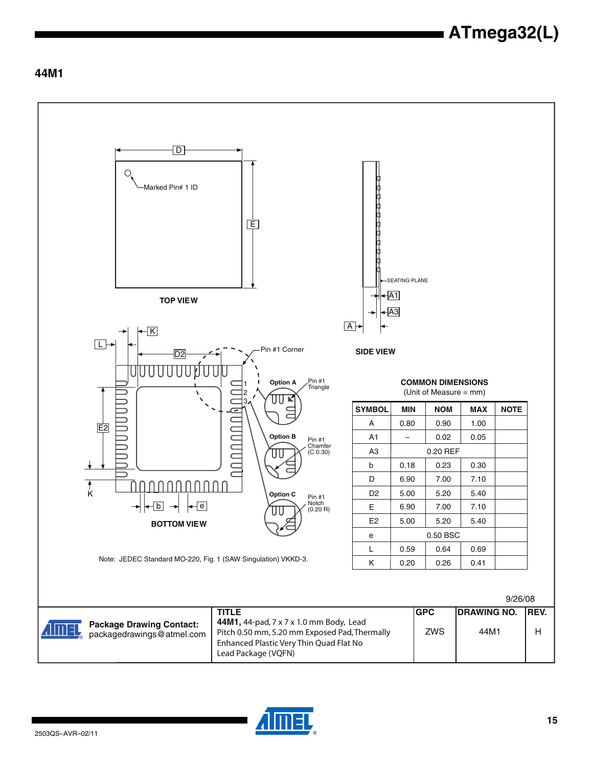### **44M1**



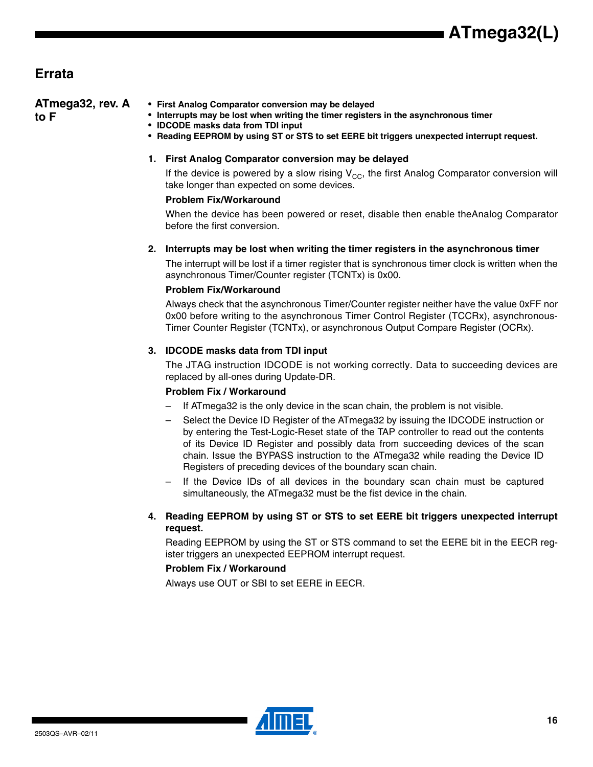### **Errata**

| ATmega32, rev. A<br>to F | • First Analog Comparator conversion may be delayed<br>• Interrupts may be lost when writing the timer registers in the asynchronous timer<br>• IDCODE masks data from TDI input<br>• Reading EEPROM by using ST or STS to set EERE bit triggers unexpected interrupt request. |
|--------------------------|--------------------------------------------------------------------------------------------------------------------------------------------------------------------------------------------------------------------------------------------------------------------------------|
|                          | 1. First Analog Comparator conversion may be delayed                                                                                                                                                                                                                           |
|                          | If the device is powered by a slow rising $V_{CC}$ , the first Analog Comparator conversion will<br>take longer than expected on some devices.                                                                                                                                 |
|                          | <b>Problem Fix/Workaround</b>                                                                                                                                                                                                                                                  |
|                          | When the device has been powered or reset, disable then enable the Analog Comparator<br>before the first conversion.                                                                                                                                                           |
|                          | 2. Interrupts may be lost when writing the timer registers in the asynchronous timer                                                                                                                                                                                           |
|                          | The interrupt will be lost if a timer register that is synchronous timer clock is written when the<br>asynchronous Timer/Counter register (TCNTx) is 0x00.                                                                                                                     |
|                          | <b>Problem Fix/Workaround</b>                                                                                                                                                                                                                                                  |
|                          | Always check that the asynchronous Timer/Counter register neither have the value 0xFF nor<br>0x00 before writing to the asynchronous Timer Control Register (TCCRx), asynchronous-                                                                                             |

#### **3. IDCODE masks data from TDI input**

The JTAG instruction IDCODE is not working correctly. Data to succeeding devices are replaced by all-ones during Update-DR.

Timer Counter Register (TCNTx), or asynchronous Output Compare Register (OCRx).

#### **Problem Fix / Workaround**

- If ATmega32 is the only device in the scan chain, the problem is not visible.
- Select the Device ID Register of the ATmega32 by issuing the IDCODE instruction or by entering the Test-Logic-Reset state of the TAP controller to read out the contents of its Device ID Register and possibly data from succeeding devices of the scan chain. Issue the BYPASS instruction to the ATmega32 while reading the Device ID Registers of preceding devices of the boundary scan chain.
- If the Device IDs of all devices in the boundary scan chain must be captured simultaneously, the ATmega32 must be the fist device in the chain.

#### **4. Reading EEPROM by using ST or STS to set EERE bit triggers unexpected interrupt request.**

Reading EEPROM by using the ST or STS command to set the EERE bit in the EECR register triggers an unexpected EEPROM interrupt request.

#### **Problem Fix / Workaround**

Always use OUT or SBI to set EERE in EECR.

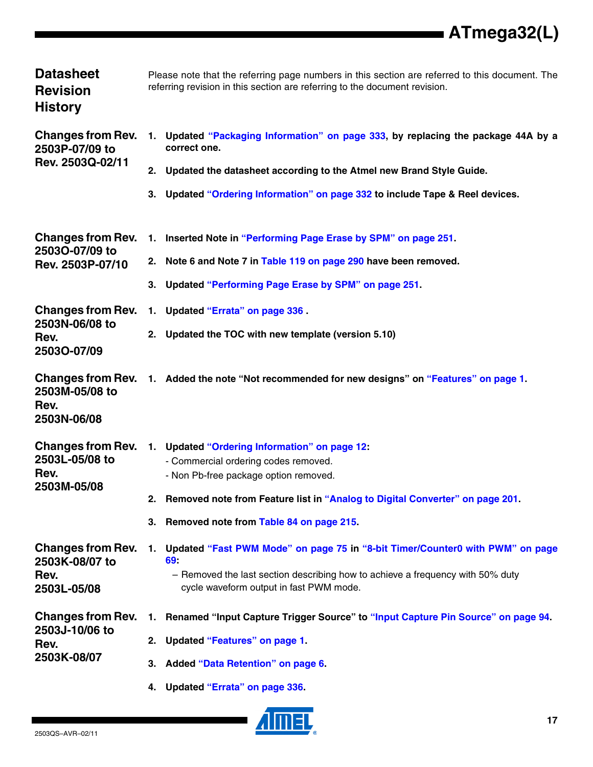| <b>Datasheet</b><br><b>Revision</b><br><b>History</b>             | Please note that the referring page numbers in this section are referred to this document. The<br>referring revision in this section are referring to the document revision.                                                                                       |
|-------------------------------------------------------------------|--------------------------------------------------------------------------------------------------------------------------------------------------------------------------------------------------------------------------------------------------------------------|
| <b>Changes from Rev.</b><br>2503P-07/09 to<br>Rev. 2503Q-02/11    | 1. Updated "Packaging Information" on page 333, by replacing the package 44A by a<br>correct one.<br>2. Updated the datasheet according to the Atmel new Brand Style Guide.<br>3. Updated "Ordering Information" on page 332 to include Tape & Reel devices.       |
| <b>Changes from Rev.</b><br>2503O-07/09 to<br>Rev. 2503P-07/10    | 1. Inserted Note in "Performing Page Erase by SPM" on page 251.<br>2. Note 6 and Note 7 in Table 119 on page 290 have been removed.<br>3. Updated "Performing Page Erase by SPM" on page 251.                                                                      |
| <b>Changes from Rev.</b><br>2503N-06/08 to<br>Rev.<br>25030-07/09 | 1. Updated "Errata" on page 336.<br>2. Updated the TOC with new template (version 5.10)                                                                                                                                                                            |
| 2503M-05/08 to<br>Rev.<br>2503N-06/08                             | Changes from Rev. 1. Added the note "Not recommended for new designs" on "Features" on page 1.                                                                                                                                                                     |
| <b>Changes from Rev.</b><br>2503L-05/08 to<br>Rev.<br>2503M-05/08 | 1. Updated "Ordering Information" on page 12:<br>- Commercial ordering codes removed.<br>- Non Pb-free package option removed.<br>Removed note from Feature list in "Analog to Digital Converter" on page 201.<br>2.<br>3. Removed note from Table 84 on page 215. |
| <b>Changes from Rev.</b><br>2503K-08/07 to<br>Rev.<br>2503L-05/08 | 1. Updated "Fast PWM Mode" on page 75 in "8-bit Timer/Counter0 with PWM" on page<br>69.<br>- Removed the last section describing how to achieve a frequency with 50% duty<br>cycle waveform output in fast PWM mode.                                               |
| <b>Changes from Rev.</b><br>2503J-10/06 to<br>Rev.<br>2503K-08/07 | Renamed "Input Capture Trigger Source" to "Input Capture Pin Source" on page 94.<br>1.<br>2. Updated "Features" on page 1.<br>3. Added "Data Retention" on page 6.<br>4. Updated "Errata" on page 336.                                                             |

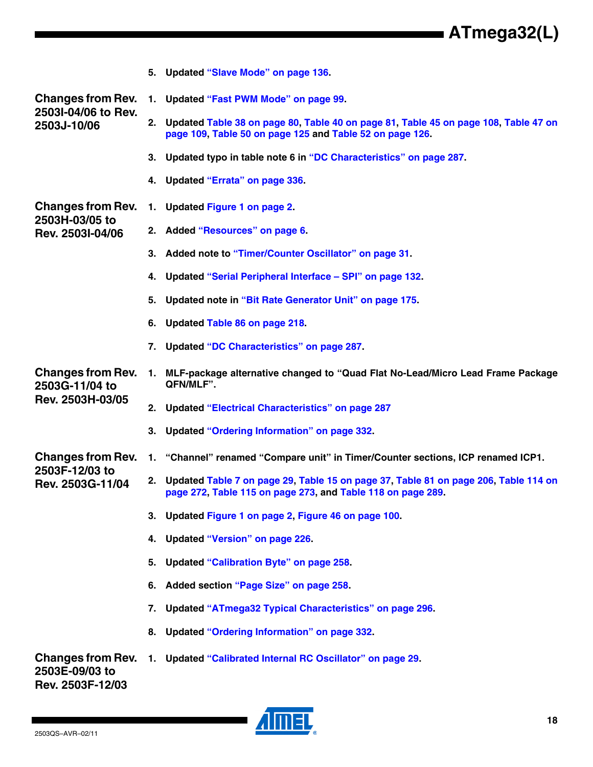|                                                                |    | 5. Updated "Slave Mode" on page 136.                                                                                                                  |
|----------------------------------------------------------------|----|-------------------------------------------------------------------------------------------------------------------------------------------------------|
| <b>Changes from Rev.</b>                                       |    | 1. Updated "Fast PWM Mode" on page 99.                                                                                                                |
| 2503I-04/06 to Rev.<br>2503J-10/06                             |    | 2. Updated Table 38 on page 80, Table 40 on page 81, Table 45 on page 108, Table 47 on<br>page 109, Table 50 on page 125 and Table 52 on page 126.    |
|                                                                |    | 3. Updated typo in table note 6 in "DC Characteristics" on page 287.                                                                                  |
|                                                                |    | 4. Updated "Errata" on page 336.                                                                                                                      |
| <b>Changes from Rev.</b>                                       |    | 1. Updated Figure 1 on page 2.                                                                                                                        |
| 2503H-03/05 to<br>Rev. 2503I-04/06                             |    | 2. Added "Resources" on page 6.                                                                                                                       |
|                                                                |    | 3. Added note to "Timer/Counter Oscillator" on page 31.                                                                                               |
|                                                                | 4. | Updated "Serial Peripheral Interface - SPI" on page 132.                                                                                              |
|                                                                | 5. | Updated note in "Bit Rate Generator Unit" on page 175.                                                                                                |
|                                                                | 6. | Updated Table 86 on page 218.                                                                                                                         |
|                                                                | 7. | Updated "DC Characteristics" on page 287.                                                                                                             |
| <b>Changes from Rev.</b><br>2503G-11/04 to                     |    | 1. MLF-package alternative changed to "Quad Flat No-Lead/Micro Lead Frame Package<br>QFN/MLF".                                                        |
| Rev. 2503H-03/05                                               |    | 2. Updated "Electrical Characteristics" on page 287                                                                                                   |
|                                                                |    | 3. Updated "Ordering Information" on page 332.                                                                                                        |
| <b>Changes from Rev.</b>                                       |    | 1. "Channel" renamed "Compare unit" in Timer/Counter sections, ICP renamed ICP1.                                                                      |
| 2503F-12/03 to<br>Rev. 2503G-11/04                             |    | 2. Updated Table 7 on page 29, Table 15 on page 37, Table 81 on page 206, Table 114 on<br>page 272, Table 115 on page 273, and Table 118 on page 289. |
|                                                                |    | 3. Updated Figure 1 on page 2, Figure 46 on page 100.                                                                                                 |
|                                                                | 4. | <b>Updated "Version" on page 226.</b>                                                                                                                 |
|                                                                | 5. | <b>Updated "Calibration Byte" on page 258.</b>                                                                                                        |
|                                                                | 6. | Added section "Page Size" on page 258.                                                                                                                |
|                                                                | 7. | <b>Updated "ATmega32 Typical Characteristics" on page 296.</b>                                                                                        |
|                                                                | 8. | <b>Updated "Ordering Information" on page 332.</b>                                                                                                    |
| <b>Changes from Rev.</b><br>2503E-09/03 to<br>Rev. 2503F-12/03 |    | 1. Updated "Calibrated Internal RC Oscillator" on page 29.                                                                                            |

**AIMEL**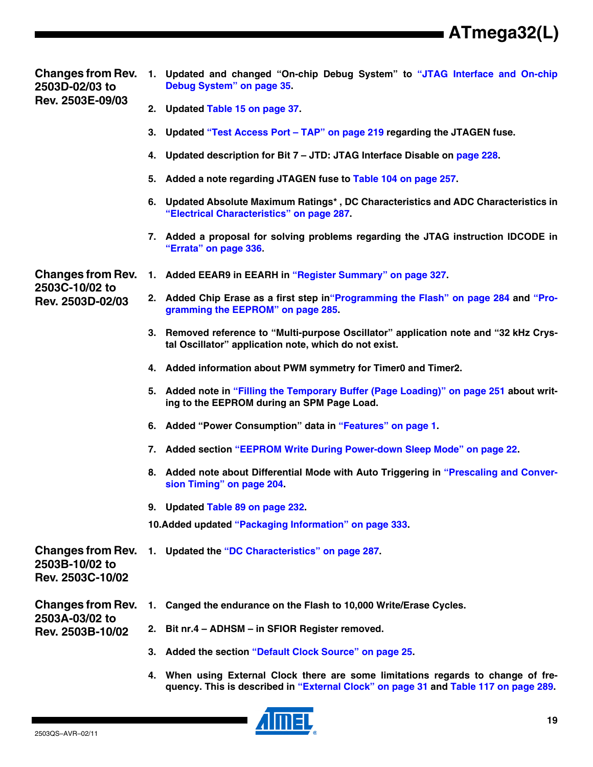**Changes from Rev. 2503D-02/03 to Rev. 2503E-09/03**

- **1. Updated and changed "On-chip Debug System" to "JTAG Interface and On-chip Debug System" on page 35.**
	- **2. Updated Table 15 on page 37.**
	- **3. Updated "Test Access Port TAP" on page 219 regarding the JTAGEN fuse.**
	- **4. Updated description for Bit 7 JTD: JTAG Interface Disable on page 228.**
	- **5. Added a note regarding JTAGEN fuse to Table 104 on page 257.**
	- **6. Updated Absolute Maximum Ratings\* , DC Characteristics and ADC Characteristics in "Electrical Characteristics" on page 287.**
	- **7. Added a proposal for solving problems regarding the JTAG instruction IDCODE in "Errata" on page 336.**

**Changes from Rev. 2503C-10/02 to Rev. 2503D-02/03**

- **1. Added EEAR9 in EEARH in "Register Summary" on page 327.**
	- **2. Added Chip Erase as a first step in"Programming the Flash" on page 284 and "Programming the EEPROM" on page 285.**
	- **3. Removed reference to "Multi-purpose Oscillator" application note and "32 kHz Crystal Oscillator" application note, which do not exist.**
	- **4. Added information about PWM symmetry for Timer0 and Timer2.**
	- **5. Added note in "Filling the Temporary Buffer (Page Loading)" on page 251 about writing to the EEPROM during an SPM Page Load.**
	- **6. Added "Power Consumption" data in "Features" on page 1.**
	- **7. Added section "EEPROM Write During Power-down Sleep Mode" on page 22.**
	- **8. Added note about Differential Mode with Auto Triggering in "Prescaling and Conversion Timing" on page 204.**
	- **9. Updated Table 89 on page 232.**

**10.Added updated "Packaging Information" on page 333.**

**Changes from Rev. 2503B-10/02 to Rev. 2503C-10/02**

**1. Updated the "DC Characteristics" on page 287.**

**Changes from Rev. 2503A-03/02 to Rev. 2503B-10/02**

- **1. Canged the endurance on the Flash to 10,000 Write/Erase Cycles.**
	- **2. Bit nr.4 ADHSM in SFIOR Register removed.**
		- **3. Added the section "Default Clock Source" on page 25.**
		- **4. When using External Clock there are some limitations regards to change of frequency. This is described in "External Clock" on page 31 and Table 117 on page 289.**

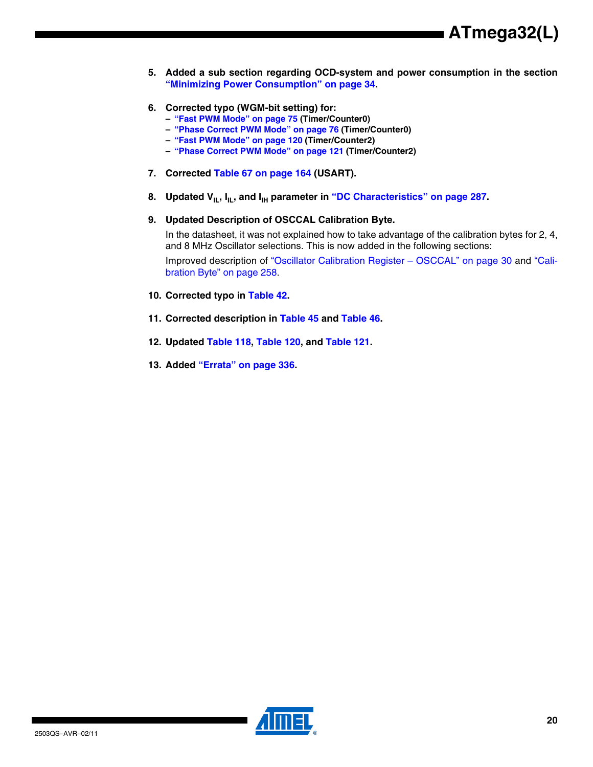- **5. Added a sub section regarding OCD-system and power consumption in the section "Minimizing Power Consumption" on page 34.**
- **6. Corrected typo (WGM-bit setting) for:**
	- **– "Fast PWM Mode" on page 75 (Timer/Counter0)**
	- **– "Phase Correct PWM Mode" on page 76 (Timer/Counter0)**
	- **– "Fast PWM Mode" on page 120 (Timer/Counter2)**
	- **– "Phase Correct PWM Mode" on page 121 (Timer/Counter2)**
- **7. Corrected Table 67 on page 164 (USART).**
- 8. Updated V<sub>IL</sub>, I<sub>IL</sub>, and I<sub>IH</sub> parameter in "DC Characteristics" on page 287.
- **9. Updated Description of OSCCAL Calibration Byte.**

In the datasheet, it was not explained how to take advantage of the calibration bytes for 2, 4, and 8 MHz Oscillator selections. This is now added in the following sections:

Improved description of "Oscillator Calibration Register – OSCCAL" on page 30 and "Calibration Byte" on page 258.

- **10. Corrected typo in Table 42.**
- **11. Corrected description in Table 45 and Table 46.**
- **12. Updated Table 118, Table 120, and Table 121.**
- **13. Added "Errata" on page 336.**